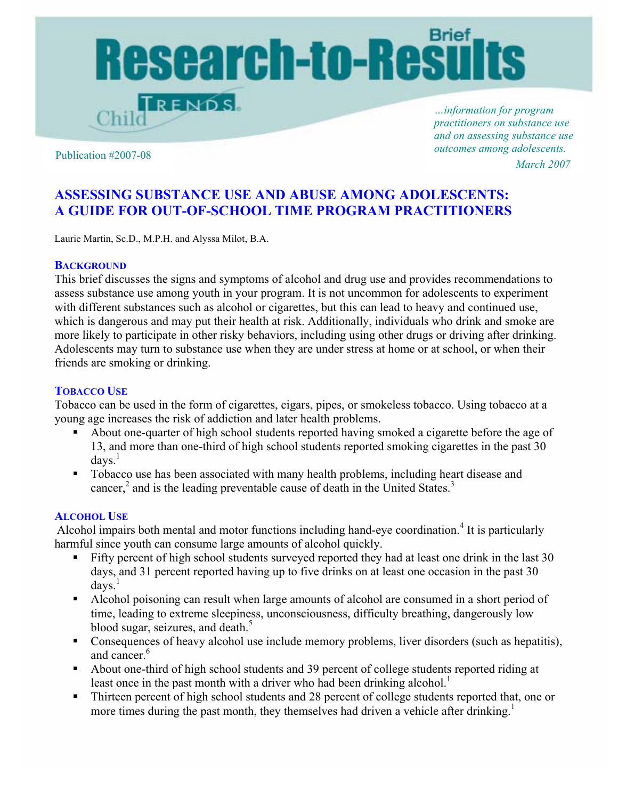

*…information for program practitioners on substance use and on assessing substance use outcomes among adolescents.* Publication #2007-08 *March 2007*

# **ASSESSING SUBSTANCE USE AND ABUSE AMONG ADOLESCENTS: A GUIDE FOR OUT-OF-SCHOOL TIME PROGRAM PRACTITIONERS**

Laurie Martin, Sc.D., M.P.H. and Alyssa Milot, B.A.

## **BACKGROUND**

This brief discusses the signs and symptoms of alcohol and drug use and provides recommendations to assess substance use among youth in your program. It is not uncommon for adolescents to experiment with different substances such as alcohol or cigarettes, but this can lead to heavy and continued use, which is dangerous and may put their health at risk. Additionally, individuals who drink and smoke are more likely to participate in other risky behaviors, including using other drugs or driving after drinking. Adolescents may turn to substance use when they are under stress at home or at school, or when their friends are smoking or drinking.

# **TOBACCO USE**

Tobacco can be used in the form of cigarettes, cigars, pipes, or smokeless tobacco. Using tobacco at a young age increases the risk of addiction and later health problems.

- About one-quarter of high school students reported having smoked a cigarette before the age of 13, and more than one-third of high school students reported smoking cigarettes in the past 30  $d$ ays.<sup>1</sup>
- Tobacco use has been associated with many health problems, including heart disease and cancer, $2$  and is the leading preventable cause of death in the United States.<sup>3</sup>

## **ALCOHOL USE**

Alcohol impairs both mental and motor functions including hand-eye coordination.<sup>4</sup> It is particularly harmful since youth can consume large amounts of alcohol quickly.

- Fifty percent of high school students surveyed reported they had at least one drink in the last 30 days, and 31 percent reported having up to five drinks on at least one occasion in the past 30  $d$ avs.<sup>1</sup>
- Alcohol poisoning can result when large amounts of alcohol are consumed in a short period of time, leading to extreme sleepiness, unconsciousness, difficulty breathing, dangerously low blood sugar, seizures, and death.<sup>5</sup>
- Consequences of heavy alcohol use include memory problems, liver disorders (such as hepatitis), and cancer.<sup>6</sup>
- About one-third of high school students and 39 percent of college students reported riding at least once in the past month with a driver who had been drinking alcohol.<sup>1</sup>
- Thirteen percent of high school students and 28 percent of college students reported that, one or more times during the past month, they themselves had driven a vehicle after drinking.<sup>1</sup>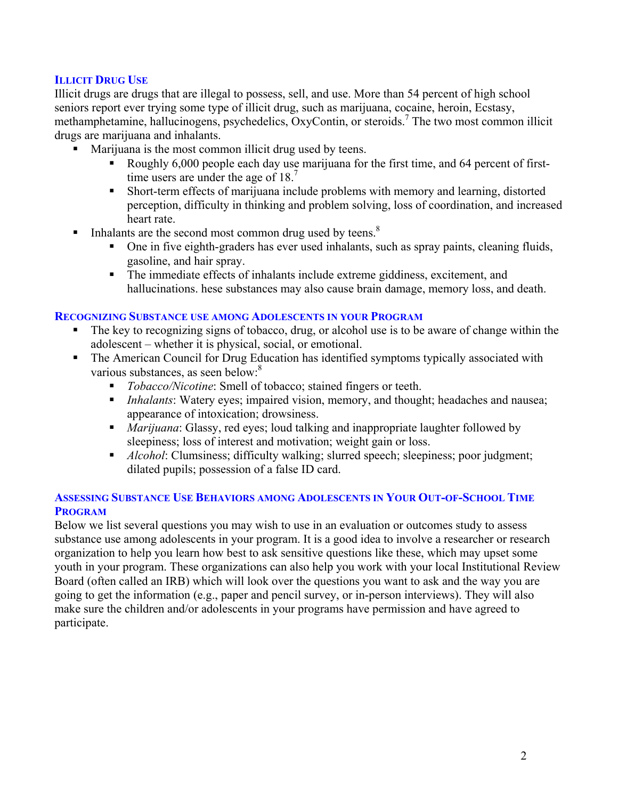# **ILLICIT DRUG USE**

Illicit drugs are drugs that are illegal to possess, sell, and use. More than 54 percent of high school seniors report ever trying some type of illicit drug, such as marijuana, cocaine, heroin, Ecstasy, methamphetamine, hallucinogens, psychedelics, OxyContin, or steroids.<sup>7</sup> The two most common illicit drugs are marijuana and inhalants.

- Marijuana is the most common illicit drug used by teens.
	- Roughly 6,000 people each day use marijuana for the first time, and 64 percent of firsttime users are under the age of  $18.7$
	- Short-term effects of marijuana include problems with memory and learning, distorted perception, difficulty in thinking and problem solving, loss of coordination, and increased heart rate.
- Inhalants are the second most common drug used by teens.<sup>8</sup>
	- One in five eighth-graders has ever used inhalants, such as spray paints, cleaning fluids, gasoline, and hair spray.
	- The immediate effects of inhalants include extreme giddiness, excitement, and hallucinations. hese substances may also cause brain damage, memory loss, and death.

#### **RECOGNIZING SUBSTANCE USE AMONG ADOLESCENTS IN YOUR PROGRAM**

- The key to recognizing signs of tobacco, drug, or alcohol use is to be aware of change within the adolescent – whether it is physical, social, or emotional.
- The American Council for Drug Education has identified symptoms typically associated with various substances, as seen below:<sup>8</sup>
	- *Tobacco/Nicotine*: Smell of tobacco; stained fingers or teeth.
	- *Inhalants*: Watery eyes; impaired vision, memory, and thought; headaches and nausea; appearance of intoxication; drowsiness.
	- *Marijuana*: Glassy, red eyes; loud talking and inappropriate laughter followed by sleepiness; loss of interest and motivation; weight gain or loss.
	- **Alcohol:** Clumsiness; difficulty walking; slurred speech; sleepiness; poor judgment; dilated pupils; possession of a false ID card.

## **ASSESSING SUBSTANCE USE BEHAVIORS AMONG ADOLESCENTS IN YOUR OUT-OF-SCHOOL TIME PROGRAM**

Below we list several questions you may wish to use in an evaluation or outcomes study to assess substance use among adolescents in your program. It is a good idea to involve a researcher or research organization to help you learn how best to ask sensitive questions like these, which may upset some youth in your program. These organizations can also help you work with your local Institutional Review Board (often called an IRB) which will look over the questions you want to ask and the way you are going to get the information (e.g., paper and pencil survey, or in-person interviews). They will also make sure the children and/or adolescents in your programs have permission and have agreed to participate.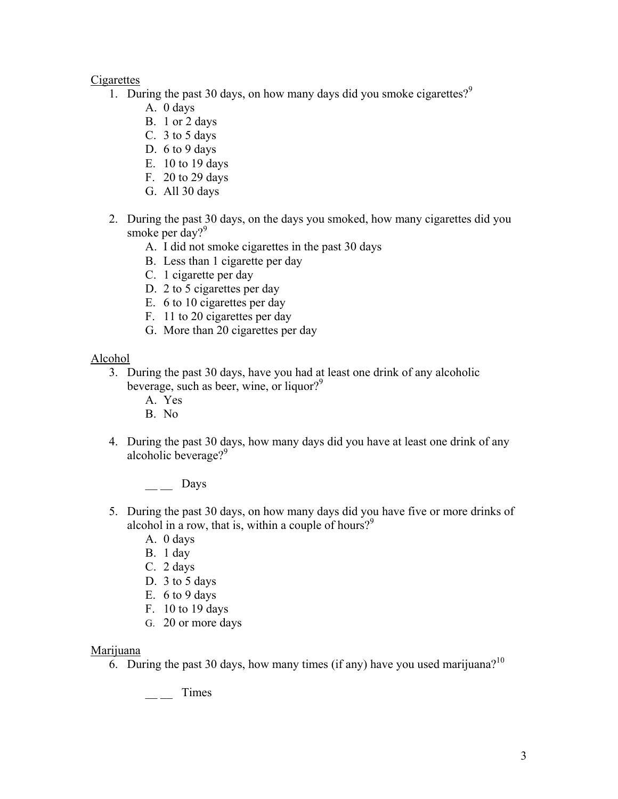# **Cigarettes**

- 1. During the past 30 days, on how many days did you smoke cigarettes?<sup>9</sup>
	- A. 0 days
	- B. 1 or 2 days
	- C. 3 to 5 days
	- D. 6 to 9 days
	- E. 10 to 19 days
	- F. 20 to 29 days
	- G. All 30 days
- 2. During the past 30 days, on the days you smoked, how many cigarettes did you smoke per day?<sup>9</sup>
	- A. I did not smoke cigarettes in the past 30 days
	- B. Less than 1 cigarette per day
	- C. 1 cigarette per day
	- D. 2 to 5 cigarettes per day
	- E. 6 to 10 cigarettes per day
	- F. 11 to 20 cigarettes per day
	- G. More than 20 cigarettes per day

Alcohol

- 3. During the past 30 days, have you had at least one drink of any alcoholic beverage, such as beer, wine, or liquor?<sup>9</sup>
	- A. Yes
	- B. No
- 4. During the past 30 days, how many days did you have at least one drink of any alcoholic beverage?<sup>9</sup>

 $\_\_$  Days

- 5. During the past 30 days, on how many days did you have five or more drinks of alcohol in a row, that is, within a couple of hours?<sup>9</sup>
	- A. 0 days
	- B. 1 day
	- C. 2 days
	- D. 3 to 5 days
	- E. 6 to 9 days
	- F. 10 to 19 days
	- G. 20 or more days

# Marijuana

6. During the past 30 days, how many times (if any) have you used marijuana?<sup>10</sup>

 $\frac{1}{2}$  Times